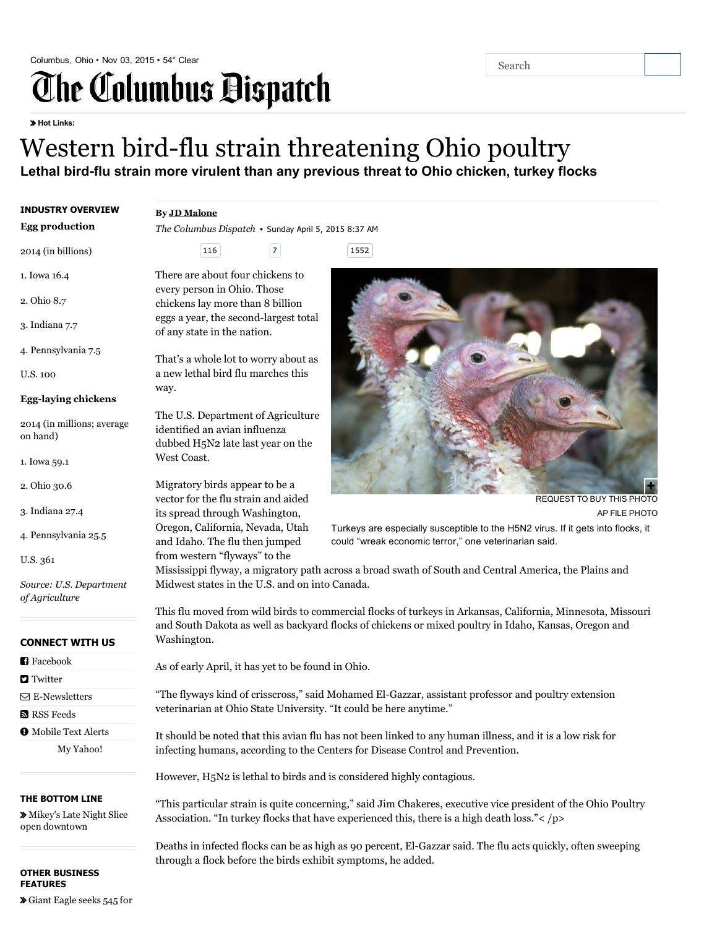# Columbus, Ohio • Nov 03, 2015 • 54° [Clear](http://www.dispatch.com/content/sections/news/weather/index.html) Search

Hot Links:

## Western bird-flu strain threatening Ohio poultry Lethal bird-flu strain more virulent than any previous threat to Ohio chicken, turkey flocks

#### INDUSTRY OVERVIEW

#### By JD [Malone](mailto:jmalone@dispatch.com)

way.

West Coast.

The Columbus Dispatch • Sunday April 5, 2015 8:37 AM

116 7 1552

That's a whole lot to worry about as a new lethal bird flu marches this

The U.S. Department of Agriculture identified an avian influenza dubbed H5N2 late last year on the

Migratory birds appear to be a vector for the flu strain and aided its spread through Washington, Oregon, California, Nevada, Utah and Idaho. The flu then jumped from western "flyways" to the

There are about four chickens to every person in Ohio. Those chickens lay more than 8 billion eggs a year, the second-largest total

of any state in the nation.



Egg production

2014 (in billions)

2. Ohio 8.7

3. Indiana 7.7

4. Pennsylvania 7.5

U.S. 100

#### Egg-laying chickens

2014 (in millions; average on hand)

- 1. Iowa 59.1
- 2. Ohio 30.6
- 3. Indiana 27.4
- 4. Pennsylvania 25.5
- U.S. 361

Source: U.S. Department of Agriculture

#### CONNECT WITH US

- **[Facebook](http://www.facebook.com/columbusdispatch)**
- **D** [Twitter](http://www.dispatch.com/content/pages/twitter.html)
- $\nabla$  E-Newsletters
- **N** RSS [Feeds](http://www.dispatch.com/content/sections/services/rss-feeds.html)

 $\bullet$  [Mobile](http://www.dispatch.com/content/sections/services/dispatch-mobile.html) Text Alerts My [Yahoo!](http://add.my.yahoo.com/rss?url=http://www.dispatch.com)

#### THE BOTTOM LINE

 Mikey's Late Night Slice open [downtown](http://www.dispatch.com/content/blogs/the-bottom-line/2015/11/mikeys-late-night-slice-open.html)

#### OTHER BUSINESS FEATURES

[Giant](http://www.dispatch.com/content/stories/business/2015/11/03/giant-eagle-seeks-545-for-permanent-jobs.html) Eagle seeks 545 for



[REQUEST](http://columbusdispatch.mycapture.com/mycapture/photoRequestForm.asp) TO BUY THIS PHOTO AP FILE PHOTO Ŧ.

Turkeys are especially susceptible to the H5N2 virus. If it gets into flocks, it could "wreak economic terror," one veterinarian said.

Mississippi flyway, a migratory path across a broad swath of South and Central America, the Plains and Midwest states in the U.S. and on into Canada.

This flu moved from wild birds to commercial flocks of turkeys in Arkansas, California, Minnesota, Missouri and South Dakota as well as backyard flocks of chickens or mixed poultry in Idaho, Kansas, Oregon and Washington.

As of early April, it has yet to be found in Ohio.

"The flyways kind of crisscross," said Mohamed ElGazzar, assistant professor and poultry extension veterinarian at Ohio State University. "It could be here anytime."

It should be noted that this avian flu has not been linked to any human illness, and it is a low risk for infecting humans, according to the Centers for Disease Control and Prevention.

However, H5N2 is lethal to birds and is considered highly contagious.

"This particular strain is quite concerning," said Jim Chakeres, executive vice president of the Ohio Poultry Association. "In turkey flocks that have experienced this, there is a high death loss."< /p>

Deaths in infected flocks can be as high as 90 percent, El-Gazzar said. The flu acts quickly, often sweeping through a flock before the birds exhibit symptoms, he added.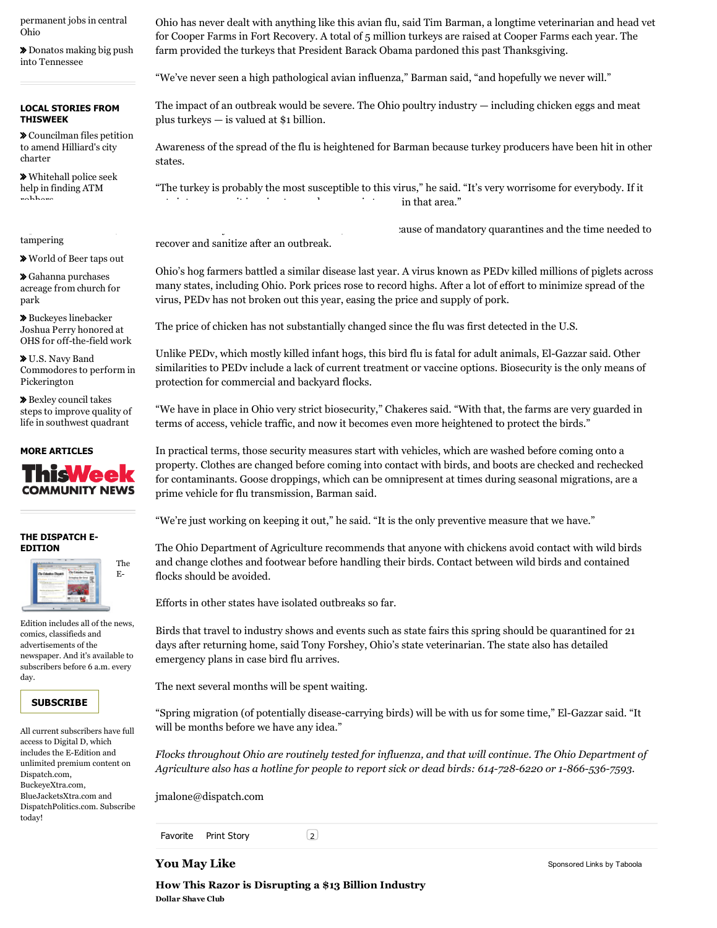[permanent](http://www.dispatch.com/content/stories/business/2015/11/03/giant-eagle-seeks-545-for-permanent-jobs.html) jobs in central Ohio

 Donatos making big push into [Tennessee](http://www.dispatch.com/content/stories/business/2015/11/02/donatos-making-big-push-into-tennessee.html)

#### LOCAL STORIES FROM THISWEEK

 [Councilman](http://www.thisweeknews.com/content/stories/hilliard/news/2015/10/29/Carrier-submits-charter-petition-WB-KC.html) files petition to amend Hilliard's city charter

 [Whitehall](http://www.thisweeknews.com/content/stories/whitehall/news/2015/11/02/whitehall-police-seek-help-in-finding-atm-robbers-WB-KC.html) police seek help in finding ATM robbers

tampering

[World](http://www.thisweeknews.com/content/stories/2015/11/02/brewerey-district-world-of-beer-closes-WB-GS.html) of Beer taps out

 Gahanna [purchases](http://www.thisweeknews.com/content/stories/gahanna/news/2015/11/01/gahanna-buying-land-from-local-congregation-WB-MK.html) acreage from church for park

 Buckeyes linebacker Joshua Perry honored at OHS for off-the-field work

 U.S. Navy Band [Commodores](http://www.thisweeknews.com/content/stories/pickerington/news/2015/10/29/us-navy-commodores-to-perform-in-pickerington-nov-11-WB-NE.html) to perform in Pickerington

 Bexley council takes steps to improve quality of life in [southwest](http://www.thisweeknews.com/content/stories/bexley/news/2015/10/28/bexley-council-takes-steps-to-improve-quality-of-life-in-southwest-quadrant-WB-CB.html) quadrant



#### THE DISPATCH E-EDITION



Edition includes all of the news, comics, classifieds and advertisements of the newspaper. And it's available to subscribers before 6 a.m. every day.

### **[SUBSCRIBE](http://www.dispatch.com/content/links/subscriber-services/subscribe-for-eEdition-ipad)**

All current subscribers have full access to Digital D, which includes the E-Edition and unlimited premium content on Dispatch.com, BuckeyeXtra.com, BlueJacketsXtra.com and [DispatchPolitics.com.](http://www.dispatch.com/content/links/subscriber-services/subscribe-for-eEdition-ipad) Subscribe today!

Ohio has never dealt with anything like this avian flu, said Tim Barman, a longtime veterinarian and head vet for Cooper Farms in Fort Recovery. A total of 5 million turkeys are raised at Cooper Farms each year. The farm provided the turkeys that President Barack Obama pardoned this past Thanksgiving.

"We've never seen a high pathological avian influenza," Barman said, "and hopefully we never will."

The impact of an outbreak would be severe. The Ohio poultry industry — including chicken eggs and meat plus turkeys — is valued at \$1 billion.

Awareness of the spread of the flu is heightened for Barman because turkey producers have been hit in other states.

"The turkey is probably the most susceptible to this virus," he said. "It's very worrisome for everybody. If it  $\cdots$  in that area."

ause of mandatory quarantines and the time needed to

recover and sanitize after an outbreak.

Ohio's hog farmers battled a similar disease last year. A virus known as PEDv killed millions of piglets across many states, including Ohio. Pork prices rose to record highs. After a lot of effort to minimize spread of the virus, PEDv has not broken out this year, easing the price and supply of pork.

The price of chicken has not substantially changed since the flu was first detected in the U.S.

Unlike PEDv, which mostly killed infant hogs, this bird flu is fatal for adult animals, El-Gazzar said. Other similarities to PEDv include a lack of current treatment or vaccine options. Biosecurity is the only means of protection for commercial and backyard flocks.

"We have in place in Ohio very strict biosecurity," Chakeres said. "With that, the farms are very guarded in terms of access, vehicle traffic, and now it becomes even more heightened to protect the birds."

In practical terms, those security measures start with vehicles, which are washed before coming onto a property. Clothes are changed before coming into contact with birds, and boots are checked and rechecked for contaminants. Goose droppings, which can be omnipresent at times during seasonal migrations, are a prime vehicle for flu transmission, Barman said.

"We're just working on keeping it out," he said. "It is the only preventive measure that we have."

The Ohio Department of Agriculture recommends that anyone with chickens avoid contact with wild birds and change clothes and footwear before handling their birds. Contact between wild birds and contained flocks should be avoided.

Efforts in other states have isolated outbreaks so far.

Birds that travel to industry shows and events such as state fairs this spring should be quarantined for 21 days after returning home, said Tony Forshey, Ohio's state veterinarian. The state also has detailed emergency plans in case bird flu arrives.

The next several months will be spent waiting.

"Spring migration (of potentially disease-carrying birds) will be with us for some time," El-Gazzar said. "It will be months before we have any idea."

Flocks throughout Ohio are routinely tested for influenza, and that will continue. The Ohio Department of Agriculture also has a hotline for people to report sick or dead birds: 614-728-6220 or 1-866-536-7593.

[jmalone@dispatch.com](mailto:jmalone@dispatch.com)

Favorite Print Story

 $\left( 2\right)$ 

**You May Like** [Sponsored](http://popup.taboola.com/en/?template=colorbox&taboola_utm_source=dispatch-dispatch&taboola_utm_medium=bytaboola&taboola_utm_content=thumbnails-a:Below%20Article%20Thumbnails:) Links by [Taboola](http://popup.taboola.com/en/?template=colorbox&taboola_utm_source=dispatch-dispatch&taboola_utm_medium=bytaboola&taboola_utm_content=thumbnails-a:Below%20Article%20Thumbnails:) and Taboola Sponsored Links by Taboola Dollar Shave Club How This Razor is Disrupting a \$13 Billion Industry